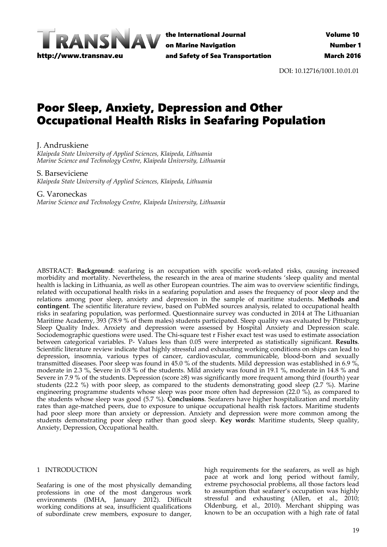

the International Journal on Marine Navigation and Safety of Sea Transportation

DOI: 10.12716/1001.10.01.01

# Poor Sleep, Anxiety, Depression and Other Occupational Health Risks in Seafaring Population

J. Andruskiene

*Klaipeda State University of Applied Sciences, Klaipeda, Lithuania Marine Science and Technology Centre, Klaipeda University, Lithuania*

S. Barseviciene

*Klaipeda State University of Applied Sciences, Klaipeda, Lithuania*

G. Varoneckas

*Marine Science and Technology Centre, Klaipeda University, Lithuania*

ABSTRACT: Background: seafaring is an occupation with specific work-related risks, causing increased morbidity and mortality. Nevertheless, the research in the area of marine students 'sleep quality and mental health is lacking in Lithuania, as well as other European countries. The aim was to overview scientific findings, related with occupational health risks in a seafaring population and asses the frequency of poor sleep and the relations among poor sleep, anxiety and depression in the sample of maritime students. **Methods and contingent**. The scientific literature review, based on PubMed sources analysis, related to occupational health risks in seafaring population, was performed. Questionnaire survey was conducted in 2014 at The Lithuanian Maritime Academy, 393 (78.9 % of them males) students participated. Sleep quality was evaluated by Pittsburg Sleep Quality Index. Anxiety and depression were assessed by Hospital Anxiety and Depression scale. Sociodemographic questions were used. The Chi-square test r Fisher exact test was used to estimate association between categorical variables. P‐ Values less than 0.05 were interpreted as statistically significant. **Results**. Scientific literature review indicate that highly stressful and exhausting working conditions on ships can lead to depression, insomnia, various types of cancer, cardiovascular, communicable, blood-born and sexually transmitted diseases. Poor sleep was found in 45.0 % of the students. Mild depression was established in 6.9 %, moderate in 2.3 %, Severe in 0.8 % of the students. Mild anxiety was found in 19.1 %, moderate in 14.8 % and Severe in 7.9 % of the students. Depression (score ≥8) was significantly more frequent among third (fourth) year students (22.2 %) with poor sleep, as compared to the students demonstrating good sleep (2.7 %). Marine engineering programme students whose sleep was poor more often had depression (22.0 %), as compared to the students whose sleep was good (5.7 %). **Conclusions**. Seafarers have higher hospitalization and mortality rates than age-matched peers, due to exposure to unique occupational health risk factors. Maritime students had poor sleep more than anxiety or depression. Anxiety and depression were more common among the students demonstrating poor sleep rather than good sleep. **Key words**: Maritime students, Sleep quality, Anxiety, Depression, Occupational health.

### 1 INTRODUCTION

Seafaring is one of the most physically demanding professions in one of the most dangerous work environments (IMHA, January 2012). Difficult working conditions at sea, insufficient qualifications of subordinate crew members, exposure to danger,

high requirements for the seafarers, as well as high pace at work and long period without family, extreme psychosocial problems, all those factors lead to assumption that seafarer's occupation was highly stressful and exhausting (Allen, et al., 2010; Oldenburg, et al., 2010). Merchant shipping was known to be an occupation with a high rate of fatal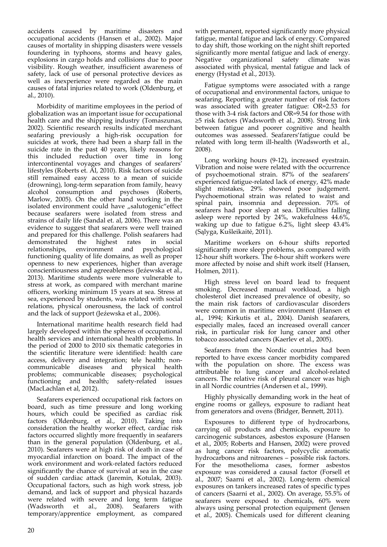accidents caused by maritime disasters and occupational accidents (Hansen et al., 2002). Major causes of mortality in shipping disasters were vessels foundering in typhoons, storms and heavy gales, explosions in cargo holds and collisions due to poor visibility. Rough weather, insufficient awareness of safety, lack of use of personal protective devices as well as inexperience were regarded as the main causes of fatal injuries related to work (Oldenburg, et al., 2010).

Morbidity of maritime employees in the period of globalization was an important issue for occupational health care and the shipping industry (Tomaszunas, 2002). Scientific research results indicated merchant seafaring previously a high‐risk occupation for suicides at work, there had been a sharp fall in the suicide rate in the past 40 years, likely reasons for this included reduction over time in long intercontinental voyages and changes of seafarers' lifestyles (Roberts et. Al, 2010). Risk factors of suicide still remained easy access to a mean of suicide (drowning), long‐term separation from family, heavy alcohol consumption and psychoses (Roberts, Marlow, 2005). On the other hand working in the isolated environment could have "salutogenic" effect because seafarers were isolated from stress and strains of daily life (Sandal et. al, 2006). There was an evidence to suggest that seafarers were well trained and prepared for this challenge. Polish seafarers had demonstrated the highest rates in social relationships, environment and psychological functioning quality of life domains, as well as proper openness to new experiences, higher than average conscientiousness and agreeableness (Jeźewska et al., 2013). Maritime students were more vulnerable to stress at work, as compared with merchant marine officers, working minimum 15 years at sea. Stress at sea, experienced by students, was related with social relations, physical onerousness, the lack of control and the lack of support (Jeźewska et al., 2006).

International maritime health research field had largely developed within the spheres of occupational health services and international health problems. In the period of 2000 to 2010 six thematic categories in the scientific literature were identified: health care access, delivery and integration; tele health; non‐ communicable diseases and physical health problems; communicable diseases; psychological functioning and health; safety-related issues (MacLachlan et al, 2012).

Seafarers experienced occupational risk factors on board, such as time pressure and long working hours, which could be specified as cardiac risk factors (Oldenburg, et al., 2010). Taking into consideration the healthy worker effect, cardiac risk factors occurred slightly more frequently in seafarers than in the general population (Oldenburg, et al., 2010). Seafarers were at high risk of death in case of myocardial infarction on board. The impact of the work environment and work‐related factors reduced significantly the chance of survival at sea in the case of sudden cardiac attack (Jaremin, Kotulak, 2003). Occupational factors, such as high work stress, job demand, and lack of support and physical hazards were related with severe and long term fatigue (Wadsworth et al., 2008). Seafarers with temporary/apprentice employment, as compared with permanent, reported significantly more physical fatigue, mental fatigue and lack of energy. Compared to day shift, those working on the night shift reported significantly more mental fatigue and lack of energy. Negative organizational safety climate was associated with physical, mental fatigue and lack of energy (Hystad et al., 2013).

Fatigue symptoms were associated with a range of occupational and environmental factors, unique to seafaring. Reporting a greater number of risk factors was associated with greater fatigue: OR=2.53 for those with 3‐4 risk factors and OR=9.54 for those with ≥5 risk factors (Wadsworth et al., 2008). Strong link between fatigue and poorer cognitive and health outcomes was assessed. Seafarers'fatigue could be related with long term ill-health (Wadsworth et al., 2008).

Long working hours (9‐12), increased eyestrain. Vibration and noise were related with the occurrence of psychoemotional strain. 87% of the seafarers' experienced fatigue‐related lack of energy, 42% made slight mistakes, 29% showed poor judgement. Psychoemotional strain was related to waist and spinal pain, insomnia and depression. 70% of seafarers had poor sleep at sea. Difficulties falling asleep were reported by 24%, wakefulness 44.6%, waking up due to fatigue 6.2%, light sleep 43.4% (Sąlyga, Kušleikaitė, 2011).

Maritime workers on 6‐hour shifts reported significantly more sleep problems, as compared with 12‐hour shift workers. The 6‐hour shift workers were more affected by noise and shift work itself (Hansen, Holmen, 2011).

High stress level on board lead to frequent smoking. Decreased manual workload, a high cholesterol diet increased prevalence of obesity, so the main risk factors of cardiovascular disorders were common in maritime environment (Hansen et al., 1994; Kirkutis et al., 2004). Danish seafarers, especially males, faced an increased overall cancer risk, in particular risk for lung cancer and other tobacco associated cancers (Kaerlev et al., 2005).

Seafarers from the Nordic countries had been reported to have excess cancer morbidity compared with the population on shore. The excess was attributable to lung cancer and alcohol‐related cancers. The relative risk of pleural cancer was high in all Nordic countries (Andersen et al., 1999).

Highly physically demanding work in the heat of engine rooms or galleys, exposure to radiant heat from generators and ovens (Bridger, Bennett, 2011).

Exposures to different type of hydrocarbons, carrying oil products and chemicals, exposure to carcinogenic substances, asbestos exposure (Hansen et al., 2005; Roberts and Hansen, 2002) were proved as lung cancer risk factors, polycyclic aromatic hydrocarbons and nitroarenes – possible risk factors. For the mesothelioma cases, former asbestos exposure was considered a causal factor (Forsell et al., 2007; Saarni et al., 2002). Long‐term chemical exposures on tankers increased rates of specific types of cancers (Saarni et al., 2002). On average, 55.5% of seafarers were exposed to chemicals, 60% were always using personal protection equipment (Jensen et al., 2005). Chemicals used for different cleaning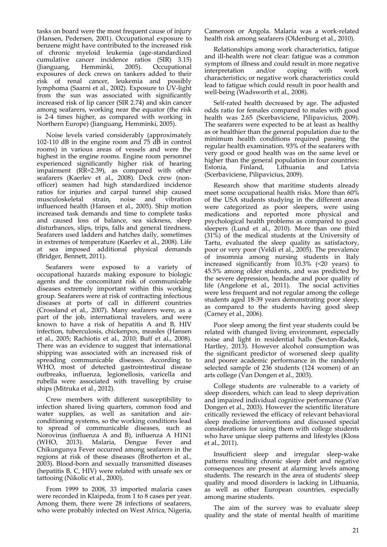tasks on board were the most frequent cause of injury (Hansen, Pedersen, 2001). Occupational exposure to benzene might have contributed to the increased risk of chronic myeloid leukemia (age‐standardized cumulative cancer incidence ratios (SIR) 3.15) (Jianguang, Hemminki, 2005). Occupational exposures of deck crews on tankers added to their risk of renal cancer, leukemia and possibly lymphoma (Saarni et al., 2002). Exposure to UV-light from the sun was associated with significantly increased risk of lip cancer (SIR 2.74) and skin cancer among seafarers, working near the equator (the risk is 2‐4 times higher, as compared with working in Northern Europe) (Jianguang, Hemminki, 2005).

Noise levels varied considerably (approximately 102‐110 dB in the engine room and 75 dB in control rooms) in various areas of vessels and were the highest in the engine rooms. Engine room personnel experienced significantly higher risk of hearing impairment (RR=2.39), as compared with other seafarers (Kaerlev et al., 2008). Deck crew (nonofficer) seamen had high standardized incidence ratios for injuries and carpal tunnel ship caused musculoskeletal strain, noise and vibration influenced health (Hansen et al., 2005). Ship motion increased task demands and time to complete tasks and caused loss of balance, sea sickness, sleep disturbances, slips, trips, falls and general tiredness. Seafarers used ladders and hatches daily, sometimes in extremes of temperature (Kaerlev et al., 2008). Life at sea imposed additional physical demands (Bridger, Bennett, 2011).

Seafarers were exposed to a variety of occupational hazards making exposure to biologic agents and the concomitant risk of communicable diseases extremely important within this working group. Seafarers were at risk of contracting infectious diseases at ports of call in different countries (Crossland et al., 2007). Many seafarers were, as a part of the job, international travelers, and were known to have a risk of hepatitis A and B, HIV infection, tuberculosis, chickenpox, measles (Hansen et al., 2005; Rachiotis et al., 2010; Buff et al., 2008). There was an evidence to suggest that international shipping was associated with an increased risk of spreading communicable diseases. According to WHO, most of detected gastrointestinal disease outbreaks, influenza, legionellosis, varicella and rubella were associated with travelling by cruise ships (Mitruka et al., 2012).

Crew members with different susceptibility to infection shared living quarters, common food and water supplies, as well as sanitation and airconditioning systems, so the working conditions lead to spread of communicable diseases, such as Norovirus (influenza A and B), influenza A H1N1 (WHO, 2013). Malaria, Dengue Fever and Chikungunya Fever occurred among seafarers in the regions at risk of these diseases (Brotherton et al., 2003). Blood‐born and sexually transmitted diseases (hepatitis B, C, HIV) were related with unsafe sex or tattooing (Nikolic et al., 2000).

From 1999 to 2008, 33 imported malaria cases were recorded in Klaipeda, from 1 to 8 cases per year. Among them, there were 28 infections of seafarers, who were probably infected on West Africa, Nigeria, Cameroon or Angola. Malaria was a work‐related health risk among seafarers (Oldenburg et al., 2010).

Relationships among work characteristics, fatigue and ill‐health were not clear: fatigue was a common symptom of illness and could result in more negative<br>interpretation and/or coping with work interpretation and/or coping with work characteristics; or negative work characteristics could lead to fatigue which could result in poor health and well-being (Wadsworth et al., 2008).

Self-rated health decreased by age. The adjusted odds ratio for females compared to males with good health was 2.65 (Scerbaviciene, Pilipavicius, 2009). The seafarers were expected to be at least as healthy as or healthier than the general population due to the minimum health conditions required passing the regular health examination. 93% of the seafarers with very good or good health was on the same level or higher than the general population in four countries:<br>Estonia, Finland, Lithuania and Latvia Estonia, Finland, Lithuania and Latvia (Scerbaviciene, Pilipavicius, 2009).

Research show that maritime students already meet some occupational health risks. More than 60% of the USA students studying in the different areas were categorized as poor sleepers, were using medications and reported more physical and psychological health problems as compared to good sleepers (Lund et al., 2010). More than one third (31%) of the medical students at the University of Tartu, evaluated the sleep quality as satisfactory, poor or very poor (Veldi et al., 2005). The prevalence of insomnia among nursing students in Italy increased significantly from  $10.3\%$  (<20 years) to 45.5% among older students, and was predicted by the severe depression, headache and poor quality of life (Angelone et al., 2011). The social activities were less frequent and not regular among the college students aged 18‐39 years demonstrating poor sleep, as compared to the students having good sleep (Carney et al., 2006).

Poor sleep among the first year students could be related with changed living environment, especially noise and light in residential halls (Sexton‐Radek, Hartley, 2013). However alcohol consumption was the significant predictor of worsened sleep quality and poorer academic performance in the randomly selected sample of 236 students (124 women) of an arts college ( $\bar{V}$ an Dongen et al., 2003).

College students are vulnerable to a variety of sleep disorders, which can lead to sleep deprivation and impaired individual cognitive performance (Van Dongen et al., 2003). However the scientific literature critically reviewed the efficacy of relevant behavioral sleep medicine interventions and discussed special considerations for using them with college students who have unique sleep patterns and lifestyles (Kloss et al., 2011).

Insufficient sleep and irregular sleep‐wake patterns resulting chronic sleep debt and negative consequences are present at alarming levels among students. The research in the area of students' sleep quality and mood disorders is lacking in Lithuania, as well as other European countries, especially among marine students.

The aim of the survey was to evaluate sleep quality and the state of mental health of maritime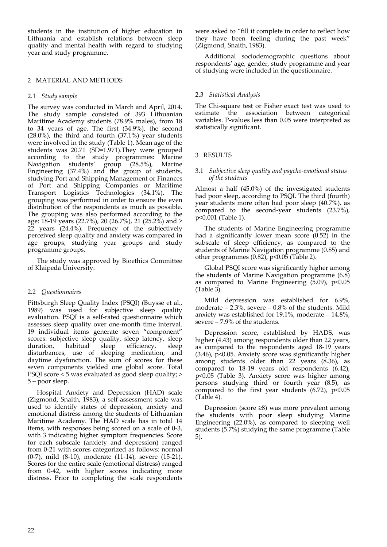students in the institution of higher education in Lithuania and establish relations between sleep quality and mental health with regard to studying year and study programme.

## 2 MATERIAL AND METHODS

## 2.1 *Study sample*

The survey was conducted in March and April, 2014. The study sample consisted of 393 Lithuanian Maritime Academy students (78.9% males), from 18 to 34 years of age. The first (34.9%), the second (28.0%), the third and fourth (37.1%) year students were involved in the study (Table 1). Mean age of the students was 20.71 (SD=1.971).They were grouped according to the study programmes: Marine Navigation students' group (28.5%), Marine Engineering (37.4%) and the group of students, studying Port and Shipping Management or Finances of Port and Shipping Companies or Maritime Transport Logistics Technologies (34.1%). The grouping was performed in order to ensure the even distribution of the respondents as much as possible. The grouping was also performed according to the age: 18‐19 years (22.7%), 20 (26.7%), 21 (25.2%) and ≥ 22 years (24.4%). Frequency of the subjectively perceived sleep quality and anxiety was compared in age groups, studying year groups and study programme groups.

The study was approved by Bioethics Committee of Klaipeda University.

## 2.2 *Questionnaires*

Pittsburgh Sleep Quality Index (PSQI) (Buysse et al., 1989) was used for subjective sleep quality evaluation. PSQI is a self‐rated questionnaire which assesses sleep quality over one‐month time interval. 19 individual items generate seven "component" scores: subjective sleep quality, sleep latency, sleep duration, habitual sleep efficiency, sleep disturbances, use of sleeping medication, and daytime dysfunction. The sum of scores for these seven components yielded one global score. Total PSQI score < 5 was evaluated as good sleep quality; > 5 – poor sleep.

Hospital Anxiety and Depression (HAD) scale (Zigmond, Snaith, 1983), a self‐assessment scale was used to identify states of depression, anxiety and emotional distress among the students of Lithuanian Maritime Academy. The HAD scale has in total 14 items, with responses being scored on a scale of 0‐3, with 3 indicating higher symptom frequencies. Score for each subscale (anxiety and depression) ranged from 0‐21 with scores categorized as follows: normal (0‐7), mild (8‐10), moderate (11‐14), severe (15‐21). Scores for the entire scale (emotional distress) ranged from 0‐42, with higher scores indicating more distress. Prior to completing the scale respondents were asked to "fill it complete in order to reflect how they have been feeling during the past week" (Zigmond, Snaith, 1983).

Additional sociodemographic questions about respondents' age, gender, study programme and year of studying were included in the questionnaire.

## 2.3 *Statistical Analysis*

The Chi-square test or Fisher exact test was used to estimate the association between categorical variables. P‐values less than 0.05 were interpreted as statistically significant.

## 3 RESULTS

#### 3.1 *Subjective sleep quality and psycho‐emotional status of the students*

Almost a half (45.0%) of the investigated students had poor sleep, according to PSQI. The third (fourth) year students more often had poor sleep (40.7%), as compared to the second-year students (23.7%), p<0.001 (Table 1).

The students of Marine Engineering programme had a significantly lower mean score  $(0.52)$  in the subscale of sleep efficiency, as compared to the students of Marine Navigation programme (0.85) and other programmes  $(0.82)$ ,  $p<0.05$  (Table 2).

Global PSQI score was significantly higher among the students of Marine Navigation programme  $(6.8)$ as compared to Marine Engineering  $(5.09)$ ,  $p<0.05$ (Table 3).

Mild depression was established for 6.9%, moderate  $-2.3\%$ , severe  $-0.8\%$  of the students. Mild anxiety was established for 19.1%, moderate – 14.8%, severe – 7.9% of the students.

Depression score, established by HADS, was higher (4.43) among respondents older than 22 years, as compared to the respondents aged 18‐19 years (3.46), p<0.05. Anxiety score was significantly higher among students older than 22 years (8.36), as compared to 18‐19 years old respondents (6.42), p<0.05 (Table 3). Anxiety score was higher among persons studying third or fourth year (8.5), as compared to the first year students  $(6.72)$ ,  $p<0.05$ (Table 4).

Depression (score ≥8) was more prevalent among the students with poor sleep studying Marine Engineering (22.0%), as compared to sleeping well students (5.7%) studying the same programme (Table 5).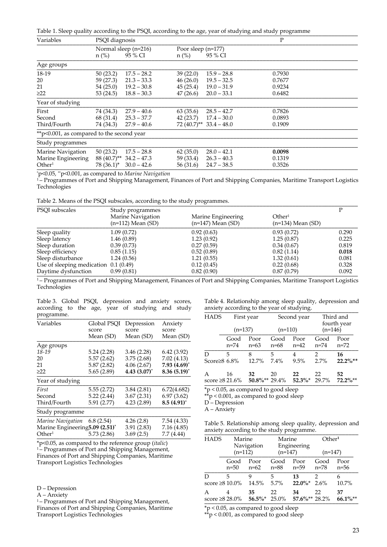|  |  |  |  | Table 1. Sleep quality according to the PSQI, according to the age, year of studying and study programme |  |  |  |
|--|--|--|--|----------------------------------------------------------------------------------------------------------|--|--|--|
|--|--|--|--|----------------------------------------------------------------------------------------------------------|--|--|--|

| Variables                                                           | PSQI diagnosis                                              |                                                                                   | P                                                         |                                                                                   |                                                |  |
|---------------------------------------------------------------------|-------------------------------------------------------------|-----------------------------------------------------------------------------------|-----------------------------------------------------------|-----------------------------------------------------------------------------------|------------------------------------------------|--|
|                                                                     | $n$ (%)                                                     | Normal sleep (n=216)<br>95 % CI                                                   | Poor sleep $(n=177)$<br>$n$ (%)                           | 95 % CI                                                                           |                                                |  |
| Age groups                                                          |                                                             |                                                                                   |                                                           |                                                                                   |                                                |  |
| 18-19<br>20<br>21<br>$\geq$ 22<br>Year of studying<br>First         | 50(23.2)<br>59 (27.3)<br>54(25.0)<br>53 (24.5)<br>74 (34.3) | $17.5 - 28.2$<br>$21.3 - 33.3$<br>$19.2 - 30.8$<br>$18.8 - 30.3$<br>$27.9 - 40.6$ | 39(22.0)<br>46(26.0)<br>45(25.4)<br>47 (26.6)<br>63(35.6) | $15.9 - 28.8$<br>$19.5 - 32.5$<br>$19.0 - 31.9$<br>$20.0 - 33.1$<br>$28.5 - 42.7$ | 0.7930<br>0.7677<br>0.9234<br>0.6482<br>0.7826 |  |
| Second<br>Third/Fourth                                              | 68 (31.4)<br>74 (34.3)                                      | $25.3 - 37.7$<br>$27.9 - 40.6$                                                    | 42 (23.7)                                                 | $17.4 - 30.0$<br>$72(40.7)$ <sup>**</sup> 33.4 – 48.0                             | 0.0893<br>0.1909                               |  |
| ** p<0.001, as compared to the second year                          |                                                             |                                                                                   |                                                           |                                                                                   |                                                |  |
| Study programmes                                                    |                                                             |                                                                                   |                                                           |                                                                                   |                                                |  |
| Marine Navigation<br>Marine Engineering<br>Other <sup>1</sup>       | 50(23.2)<br>88 (40.7)**<br>78 (36.1)*                       | $17.5 - 28.8$<br>$34.2 - 47.3$<br>$30.0 - 42.6$                                   | 62(35.0)<br>59 (33.4)<br>56 (31.6)                        | $28.0 - 42.1$<br>$26.3 - 40.3$<br>$24.7 - 38.5$                                   | 0.0098<br>0.1319<br>0.3526                     |  |
| $\gamma$ p<0.05, $\gamma$ p<0.001, as compared to Marine Navigation |                                                             |                                                                                   |                                                           |                                                                                   |                                                |  |

<sup>1</sup> – Programmes of Port and Shipping Management, Finances of Port and Shipping Companies, Maritime Transport Logistics Technologies

Table 2. Means of the PSQI subscales, according to the study programmes.

| <b>PSOI</b> subscales                  | Study programmes                           |                                             |                                             |       |  |  |
|----------------------------------------|--------------------------------------------|---------------------------------------------|---------------------------------------------|-------|--|--|
|                                        | Marine Navigation<br>$(n=112)$ Mean $(SD)$ | Marine Engineering<br>$(n=147)$ Mean $(SD)$ | Other <sup>1</sup><br>$(n=134)$ Mean $(SD)$ |       |  |  |
| Sleep quality                          | 1.09(0.72)                                 | 0.92(0.63)                                  | 0.93(0.72)                                  | 0.290 |  |  |
| Sleep latency                          | 1.46(0.89)                                 | 1.23(0.92)                                  | 1.25(0.87)                                  | 0.225 |  |  |
| Sleep duration                         | 0.39(0.73)                                 | 0.27(0.59)                                  | 0.34(0.67)                                  | 0.819 |  |  |
| Sleep efficiency                       | 0.85(1.15)                                 | 0.52(0.89)                                  | 0.82(1.14)                                  | 0.018 |  |  |
| Sleep disturbance                      | 1.24(0.56)                                 | 1.21(0.55)                                  | 1.32(0.61)                                  | 0.081 |  |  |
| Use of sleeping medication $0.1(0.49)$ |                                            | 0.12(0.45)                                  | 0.22(0.68)                                  | 0.328 |  |  |
| Daytime dysfunction                    | 0.99(0.81)                                 | 0.82(0.90)                                  | 0.87(0.79)                                  | 0.092 |  |  |

<sup>1</sup>-Programmes of Port and Shipping Management, Finances of Port and Shipping Companies, Maritime Transport Logistics Technologies

Table 3. Global PSQI, depression and anxiety scores, according to the age, year of studying and study programme. \_\_\_\_\_\_\_\_\_\_\_\_\_\_\_\_\_\_\_\_\_\_\_\_\_\_\_\_\_\_\_\_\_\_\_\_\_\_\_\_\_\_\_\_\_\_\_

| Table 4. Relationship among sleep quality, depression and |  |
|-----------------------------------------------------------|--|
| anxiety according to the year of studying.                |  |

| r - - o-                        |                      |                     |                  |
|---------------------------------|----------------------|---------------------|------------------|
| Variables                       | Global PSOI<br>score | Depression<br>score | Anxiety<br>score |
|                                 | Mean (SD)            | Mean (SD)           | Mean (SD)        |
| Age groups                      |                      |                     |                  |
| 18-19                           | 5.24 (2.28)          | 3.46(2.28)          | 6.42(3.92)       |
| 20                              | 5.57(2.62)           | 3.75(2.68)          | 7.02(4.13)       |
| 21                              | 5.87(2.82)           | 4.06(2.67)          | $7.93(4.69)^{*}$ |
| $\geq$ 22                       | 5.65(2.89)           | $4.43(3.07)^{*}$    | $8.36(5.19)^{*}$ |
| Year of studying                |                      |                     |                  |
| First                           | 5.55(2.72)           | 3.84(2.81)          | 6.72(4.682)      |
| Second                          | 5.22(2.44)           | 3.67(2.31)          | 6.97(3.62)       |
| Third/Fourth                    | 5.91 (2.77)          | 4.23(2.89)          | $8.5(4.91)$ *    |
| Study programme                 |                      |                     |                  |
| Marine Navigation               | 6.8(2.54)            | 4.26(2.8)           | 7.54 (4.33)      |
| Marine Engineering 5.09 (2.51)* |                      | 3.91(2.83)          | 7.16(4.85)       |
| $\rm{Other^1}$                  | 5.73 (2.86)          | 3.69(2.5)           | 7.7(4.44)        |
|                                 |                      |                     |                  |

\*p<0.05, as compared to the reference group (*italic*) <sup>1</sup> – Programmes of Port and Shipping Management, Finances of Port and Shipping Companies, Maritime Transport Logistics Technologies

D – Depression

A – Anxiety

<sup>1</sup> – Programmes of Port and Shipping Management, Finances of Port and Shipping Companies, Maritime Transport Logistics Technologies

| <b>HADS</b><br>First year<br>$(n=137)$ |      | $(n=110)$              |      | Second year            | Third and<br>fourth year<br>$(n=146)$ |               |
|----------------------------------------|------|------------------------|------|------------------------|---------------------------------------|---------------|
|                                        | Good | Poor                   | Good | Poor                   | Good                                  | Poor          |
|                                        | n=74 | $n=63$                 | n=68 | $n=42$                 | $n = 74$                              | n=72          |
| D                                      | 5    | 8                      | 5    | 4                      | 2                                     | 16            |
| Score $\geq 8$ 6.8%                    |      | 12.7%                  | 7.4% | 9.5%                   | 2.7%                                  | $22.2\%**$    |
| A<br>score $\geq 821.6\%$              | 16   | 32<br>$50.8\%**29.4\%$ | 20   | 22<br>$52.3\%$ * 29.7% | 22                                    | 52<br>72.2%** |

\*p < 0.05, as compared to good sleep

\*\*p < 0.001, as compared to good sleep

D<sup>'</sup>-Depression

A – Anxiety

Table 5. Relationship among sleep quality, depression and anxiety according to the study programme.

| <b>HADS</b>                | Marine<br>Navigation<br>$(n=112)$ |                             | Marine<br>Engineering<br>$(n=147)$ |                        | Other <sup>1</sup><br>$(n=147)$ |                  |
|----------------------------|-----------------------------------|-----------------------------|------------------------------------|------------------------|---------------------------------|------------------|
|                            | Good<br>$n=50$                    | Poor<br>$n=62$              | Good<br>$n = 88$                   | Poor<br>n=59           | Good<br>n=78                    | Poor<br>$n=56$   |
| D<br>score $\geq 810.0\%$  | 5                                 | 9<br>14.5%                  | 5<br>5.7%                          | 13<br>$22.0\%$ * 2.6%  | 2                               | 6<br>10.7%       |
| A<br>score $\geq 8.28.0\%$ | 4                                 | 35<br>$56.5\%$ <sup>*</sup> | 22<br>25.0%                        | 34<br>$57.6\%**28.2\%$ | 22                              | 37<br>$66.1\%**$ |

\*p < 0.05, as compared to good sleep

\*\*p < 0.001, as compared to good sleep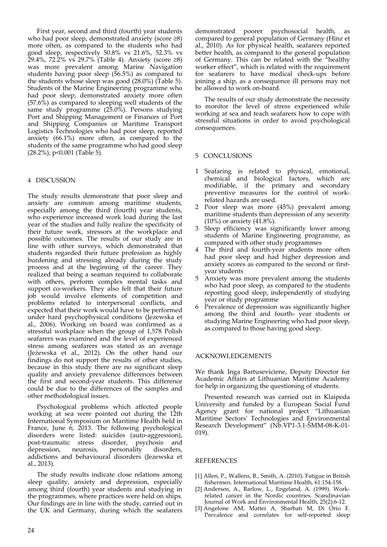First year, second and third (fourth) year students who had poor sleep, demonstrated anxiety (score ≥8) more often, as compared to the students who had good sleep, respectively 50.8% vs 21.6%, 52.3% vs  $29.4\%$ , 72.2% vs 29.7% (Table 4). Anxiety (score ≥8) was more prevalent among Marine Navigation students having poor sleep (56.5%) as compared to the students whose sleep was good (28.0%) (Table 5). Students of the Marine Engineering programme who had poor sleep, demonstrated anxiety more often (57.6%) as compared to sleeping well students of the same study programme (25.0%). Persons studying Port and Shipping Management or Finances of Port and Shipping Companies or Maritime Transport Logistics Technologies who had poor sleep, reported anxiety (66.1%) more often, as compared to the students of the same programme who had good sleep  $(28.2\%)$ , p<0.001 (Table 5).

### 4 DISCUSSION

The study results demonstrate that poor sleep and anxiety are common among maritime students, especially among the third (fourth) year students, who experience increased work load during the last year of the studies and fully realize the specificity of their future work, stressors at the workplace and possible outcomes. The results of our study are in line with other surveys, which demonstrated that students regarded their future profession as highly burdening and stressing already during the study process and at the beginning of the career. They realized that being a seaman required to collaborate with others, perform complex mental tasks and support co-workers. They also felt that their future job would involve elements of competition and problems related to interpersonal conflicts, and expected that their work would have to be performed under hard psychophysical conditions (Jezewska et al., 2006). Working on board was confirmed as a stressful workplace when the group of 1,578 Polish seafarers was examined and the level of experienced stress among seafarers was stated as an average (Jeżewska et al., 2012). On the other hand our findings do not support the results of other studies, because in this study there are no significant sleep quality and anxiety prevalence differences between the first and second‐year students. This difference could be due to the differences of the samples and other methodological issues.

Psychological problems which affected people working at sea were pointed out during the 12th International Symposium on Maritime Health held in France, June 6, 2013. The following psychological disorders were listed: suicides (auto‐aggression), post‐traumatic stress disorder, psychosis and depression, neurosis, personality disorders, addictions and behavioural disorders (Jezewska et al., 2013).

The study results indicate close relations among sleep quality, anxiety and depression, especially among third (fourth) year students and studying in the programmes, where practices were held on ships. Our findings are in line with the study, carried out in the UK and Germany, during which the seafarers demonstrated poorer psychosocial health, as compared to general population of Germany (Hinz et al., 2010). As for physical health, seafarers reported better health, as compared to the general population of Germany. This can be related with the "healthy worker effect", which is related with the requirement for seafarers to have medical check‐ups before joining a ship, as a consequence ill persons may not be allowed to work on‐board.

The results of our study demonstrate the necessity to monitor the level of stress experienced while working at sea and teach seafarers how to cope with stressful situations in order to avoid psychological consequences.

### 5 CONCLUSIONS

- 1 Seafaring is related to physical, emotional, chemical and biological factors, which are modifiable, if the primary and secondary preventive measures for the control of work‐ related hazards are used.
- 2 Poor sleep was more (45%) prevalent among maritime students than depression of any severity (10%) or anxiety (41.8%).
- 3 Sleep efficiency was significantly lower among students of Marine Engineering programme, as compared with other study programmes
- The third and fourth-year students more often had poor sleep and had higher depression and anxiety scores as compared to the second or firstyear students
- 5 Anxiety was more prevalent among the students who had poor sleep, as compared to the students reporting good sleep, independently of studying year or study programme
- 6 Prevalence of depression was significantly higher among the third and fourth‐ year students or studying Marine Engineering who had poor sleep, as compared to those having good sleep.

### ACKNOWLEDGEMENTS

We thank Inga Bartuseviciene, Deputy Director for Academic Affairs at Lithuanian Maritime Academy for help in organizing the questioning of students.

Presented research was carried out in Klaipeda University and funded by a European Social Fund Agency grant for national project "Lithuanian Maritime Sectors' Technologies and Environmental Research Development" (Nb.VP1-3.1-ŠMM-08-K-01-019).

#### REFERENCES

- [1] Allen, P., Wallens, B., Smith, A. (2010). Fatigue in British fishermen. International Maritime Health, 61:154‐158.
- [2] Andersen, A., Barlow, L., Engeland, A. (1999). Work‐ related cancer in the Nordic countries. Scandinavian Journal of Work and Environmental Health, 25(2):6‐12.
- [3] Angelone AM, Mattei A, Sbarbati M, Di Orio F. Prevalence and correlates for self-reported sleep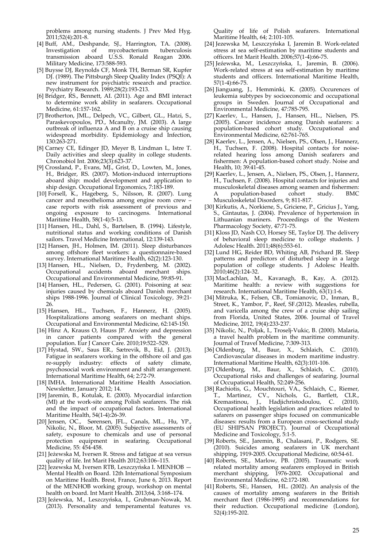problems among nursing students. J Prev Med Hyg. 2011;52(4):201‐8.

- [4] Buff, AM., Deshpande, SJ., Harrington, TA. (2008). Investigation of mycobacterium tuberculosis transmission aboard U.S.S. Ronald Reagan 2006. Military Medicine, 173:588‐593.
- [5] Buysse DJ, Reynolds CF, Monk TH, Berman SR, Kupfer DJ. (1989). The Pittsburgh Sleep Quality Index (PSQI): A new instrument for psychiatric research and practice. Psychiatry Research. 1989;28(2):193‐213.
- [6] Bridger, RS., Bennett, AI. (2011). Age and BMI interact to determine work ability in seafarers. Occupational Medicine, 61:157‐162.
- [7] Brotherton, JML., Delpech, VC., Gilbert, GL., Hatzi, S., Paraskevopoulos, PD., Mcanulty, JM. (2003). A large outbreak of influenza A and B on a cruise ship causing widespread morbidity. Epidemiology and Infection, 130:263‐271.
- [8] Carney CE, Edinger JD, Meyer B, Lindman L, Istre T. Daily activities and sleep quality in college students. Chronobiol Int. 2006;23(3):623‐37.
- [9] Crossland, P., Evans, MJ., Grist, D., Lowten, M., Jones, H., Bridger, RS. (2007). Motion‐induced interruptions aboard ship: model development and application to ship design. Occupational Ergonomics, 7:183‐189.
- [10] Forsell, K., Hageberg, S., Nilsson, R. (2007). Lung cancer and mesothelioma among engine room crew – case reports with risk assessment of previous and ongoing exposure to carcinogens. International Maritime Health, 58(1‐4):5‐13.
- [11] Hansen, HL., Dahl, S., Bartelsen, B. (1994). Lifestyle, nutritional status and working conditions of Danish sailors. Travel Medicine International, 12:139‐143.
- [12] Hansen, JH., Holmen, IM. (2011). Sleep disturbances among offshore fleet workers: a questionnaire‐based survey. International Maritime Health, 62(2):123‐130.
- [13] Hansen, HL., Nielsen, D., Frydenberg, M. (2002). Occupational accidents aboard merchant ships. Occupational and Environmental Medicine, 59:85‐91.
- [14] Hansen, HL., Pedersen, G. (2001). Poisoning at sea: injuries caused by chemicals aboard Danish merchant ships 1988‐1996. Journal of Clinical Toxicology, 39:21‐ 26.
- [15] Hansen, HL., Tuchsen, F., Hannerz, H. (2005). Hospitalizations among seafarers on mechant ships. Occupational and Environmental Medicine, 62:145‐150.
- [16] Hinz A, Krauss O, Hauss JP. Anxiety and depression in cancer patients compared with the general population. Eur J Cancer Care. 2010;19:522–529.
- [17] Hystad, SW., Saus ER., Sætrevik, B., Eid, J. (2013). Fatigue in seafarers working in the offshore oil and gas re‐supply industry: effects of safety climate, psychosocial work environment and shift arrangement. International Maritime Health, 64; 2:72‐79.
- [18] IMHA. International Maritime Health Association. Newsletter, January 2012; 14.
- [19] Jaremin, B., Kotulak, E. (2003). Myocardial infarction (MI) at the work‐site among Polish seafarers. The risk and the impact of occupational factors. International Maritime Health, 54(1‐4):26‐39.
- [20] Jensen, OC., Sørensen, JFL., Canals, ML., Hu, YP., Nikolic, N., Bloor, M. (2005). Subjective assessments of safety, exposure to chemicals and use of personal protection equipment in seafaring. Occupational Medicine, 55: 454‐458.
- [21] Jeżewska M, Iversen R. Stress and fatigue at sea versus quality of life. Int Marit Health 2012;63:106–115.
- [22] Jezewska M, Iversen RTB, Leszczyńska I. MENHOB Mental Health on Board. 12th International Symposium on Maritime Health. Brest, France, June 6, 2013. Report of the MENHOB working group, workshop on mental health on board. Int Marit Health. 2013;64, 3:168–174.
- [23] Jeźewska, M., Leszczyńska, I., Grubman‐Nowak, M. (2013). Personality and temperamental features vs.

Quality of life of Polish seafarers. International Maritime Health, 64; 2:101‐105.

- [24] Jezewska M, Leszczyńska I, Jaremin B. Work‐related stress at sea self‐estimation by maritime students and officers. Int Marit Health. 2006;57(1‐4):66‐75.
- [25] Jeźewska, M., Leszczyńska, I., Jaremin, B. (2006). Work‐related stress at sea self‐estimation by maritime students and officers. International Maritime Health, 57(1‐4):66‐75.
- [26] Jianguang, J., Hemminki, K. (2005). Occurences of leukemia subtypes by socioeconomic and occupational groups in Sweden. Journal of Occupational and Environmental Medicine, 47:785‐795.
- [27] Kaerlev, L., Hansen, J., Hansen, HL., Nielsen, PS. (2005). Cancer incidence among Danish seafarers: a population‐based cohort study. Occupational and Environmental Medicine, 62:761‐765.
- [28] Kaerlev, L., Jensen, A., Nielsen, PS., Olsen, J., Hannerz, H., Tuchsen, F. (2008). Hospital contacts for noiserelated hearing loss among Danish seafarers and fishermen: A population‐based cohort study. Noise and Health, 10; 39:41‐45.
- [29] Kaerlev, L., Jensen, A., Nielsen, PS., Olsen, J., Hannerz, H., Tuchsen, F. (2008). Hospital contacts for injuries and musculoskeletal diseases among seamen and fishermen: A population‐based cohort study. BMC Musculoskeletal Disorders, 9; 811‐817.
- [30] Kirkutis, A., Norkiene, S., Griciene, P., Gricius J., Yang, S., Gintautas, J. (2004). Prevalence of hypertension in Lithuanian mariners. Proceedings of the Western Pharmacology Society, 47:71‐75.
- [31] Kloss JD, Nash CO, Horsey SE, Taylor DJ. The delivery of behavioral sleep medicine to college students. J Adolesc Health. 2011;48(6):553‐61.
- [32] Lund HG, Reider BD, Whiting AB, Prichard JR. Sleep patterns and predictors of disturbed sleep in a large population of college students. J Adolesc Health. 2010;46(2):124‐32.
- [33] MacLachlan, M., Kavanagh, B., Kay, A. (2012). Maritime health: a review with suggestions for research. International Maritime Health, 63(1):1‐6.
- [34] Mitruka, K., Felsen, CB., Tomianovic, D., Inman, B., Street, K., Yambor, P., Reef, SF.(2012). Measles, rubella, and varicella among the crew of a cruise ship sailing from Florida, United States, 2006. Journal of Travel Medicine, 2012, 19(4):233‐237.
- [35] Nikolic, N., Poljak, I., Troselj‐Vukic, B. (2000). Malaria, a travel health problem in the maritime community. Journal of Travel Medicine, 7:309‐313.
- [36] Oldenburg, M., Baur, X., Schlaich, C. (2010). Cardiovascular diseases in modern maritime industry. International Maritime Health, 62(3):101‐106.
- [37] Oldenburg, M., Baur, X., Schlaich, C. (2010). Occupational risks and challenges of seafaring. Journal of Occupational Health, 52:249‐256.
- [38] Rachiotis, G., Mouchtouri, VA., Schlaich, C., Riemer, T., Martinez, CV., Nichols, G., Bartlett, CLR., Kremastinou, J., Hadjichristodoulou, C. (2010). Occupational health legislation and practices related to safarers on passenger ships focused on communicable diseases: results from a European cross‐sectional study (EU SHIPSAN PROJECT). Journal of Occupational Medicine and Toxicology, 5:1‐5.
- [39] Roberts, SE., Jaremin, B., Chalasani, P., Rodgers, SE. (2010). Suicides among seafarers in UK merchant shipping, 1919‐2005. Occupational Medicine, 60:54‐61.
- [40] Roberts, SE., Marlow, PB. (2005). Traumatic work related mortality among seafarers employed in British merchant shipping, 1976‐2002. Occupational and Environmental Medicine, 62:172‐180.
- [41] Roberts, SE:, Hansen, HL. (2002). An analysis of the causes of mortality among seafarers in the British merchant fleet (1986-1995) and recommendations for their reduction. Occupational medicine (London), 52(4):195‐202.